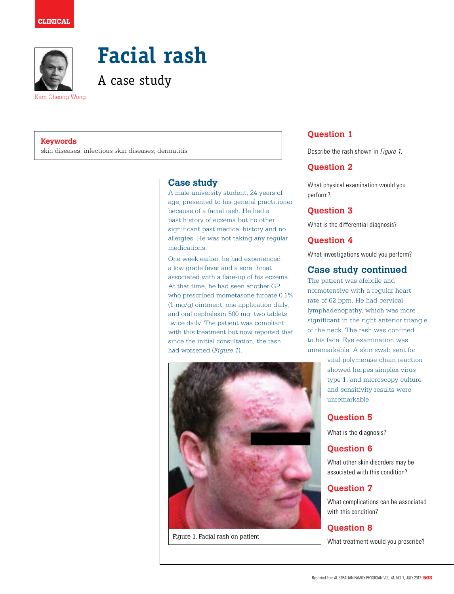

**Facial rash** 

A case study

Kam Cheong Wong

#### **Keywords**

skin diseases; infectious skin diseases; dermatitis

# **Case study**

A male university student, 24 years of age, presented to his general practitioner because of a facial rash. He had a past history of eczema but no other significant past medical history and no allergies. He was not taking any regular medications.

One week earlier, he had experienced a low grade fever and a sore throat associated with a flare-up of his eczema. At that time, he had seen another GP who prescribed mometasone furoate 0.1% (1 mg/g) ointment, one application daily, and oral cephalexin 500 mg, two tablets twice daily. The patient was compliant with this treatment but now reported that since the initial consultation, the rash had worsened (*Figure 1*).



Figure 1. Facial rash on patient

# **Question 1**

Describe the rash shown in Figure 1.

## **Question 2**

What physical examination would you perform?

## **Question 3**

What is the differential diagnosis?

# **Question 4**

What investigations would you perform?

## **Case study continued**

The patient was afebrile and normotensive with a regular heart rate of 62 bpm. He had cervical lymphadenopathy, which was more significant in the right anterior triangle of the neck. The rash was confined to his face. Eye examination was unremarkable. A skin swab sent for

> viral polymerase chain reaction showed herpes simplex virus type 1, and microscopy culture and sensitivity results were unremarkable.

# **Question 5**

What is the diagnosis?

### **Question 6**

What other skin disorders may be associated with this condition?

# **Question 7**

What complications can be associated with this condition?

# **Question 8**

What treatment would you prescribe?